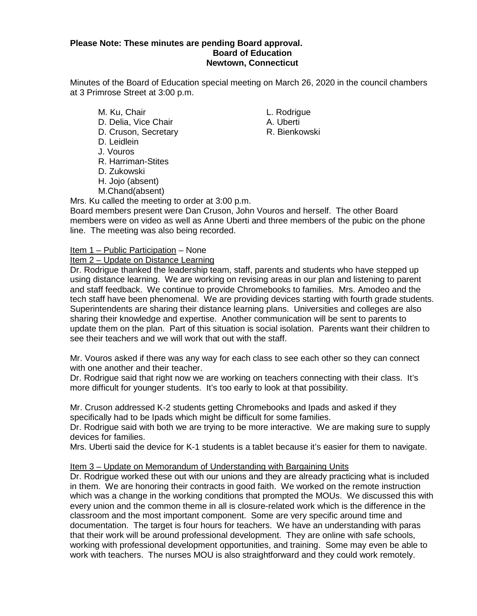# **Please Note: These minutes are pending Board approval. Board of Education Newtown, Connecticut**

Minutes of the Board of Education special meeting on March 26, 2020 in the council chambers at 3 Primrose Street at 3:00 p.m.

- M. Ku, Chair **M. Ku, Chair** L. Rodrigue D. Delia, Vice Chair **A.** Uberti D. Cruson, Secretary **R. Bienkowski** D. Leidlein J. Vouros R. Harriman-Stites D. Zukowski H. Jojo (absent)
- M.Chand(absent)

Mrs. Ku called the meeting to order at 3:00 p.m.

Board members present were Dan Cruson, John Vouros and herself. The other Board members were on video as well as Anne Uberti and three members of the pubic on the phone line. The meeting was also being recorded.

# Item 1 – Public Participation – None

# Item 2 – Update on Distance Learning

Dr. Rodrigue thanked the leadership team, staff, parents and students who have stepped up using distance learning. We are working on revising areas in our plan and listening to parent and staff feedback. We continue to provide Chromebooks to families. Mrs. Amodeo and the tech staff have been phenomenal. We are providing devices starting with fourth grade students. Superintendents are sharing their distance learning plans. Universities and colleges are also sharing their knowledge and expertise. Another communication will be sent to parents to update them on the plan. Part of this situation is social isolation. Parents want their children to see their teachers and we will work that out with the staff.

Mr. Vouros asked if there was any way for each class to see each other so they can connect with one another and their teacher.

Dr. Rodrigue said that right now we are working on teachers connecting with their class. It's more difficult for younger students. It's too early to look at that possibility.

Mr. Cruson addressed K-2 students getting Chromebooks and Ipads and asked if they specifically had to be Ipads which might be difficult for some families.

Dr. Rodrigue said with both we are trying to be more interactive. We are making sure to supply devices for families.

Mrs. Uberti said the device for K-1 students is a tablet because it's easier for them to navigate.

# Item 3 – Update on Memorandum of Understanding with Bargaining Units

Dr. Rodrigue worked these out with our unions and they are already practicing what is included in them. We are honoring their contracts in good faith. We worked on the remote instruction which was a change in the working conditions that prompted the MOUs. We discussed this with every union and the common theme in all is closure-related work which is the difference in the classroom and the most important component. Some are very specific around time and documentation. The target is four hours for teachers. We have an understanding with paras that their work will be around professional development. They are online with safe schools, working with professional development opportunities, and training. Some may even be able to work with teachers. The nurses MOU is also straightforward and they could work remotely.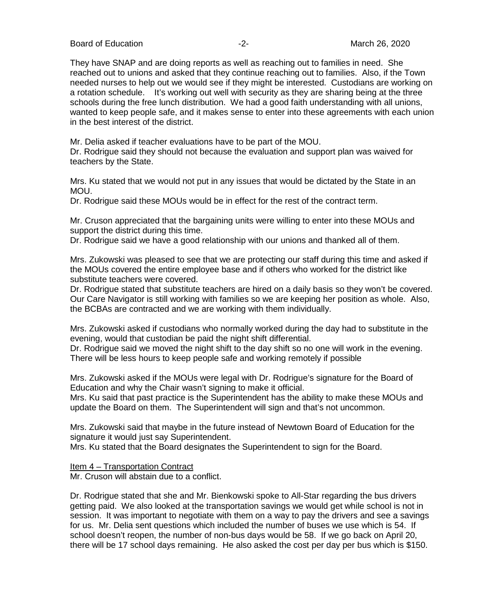Board of Education  $\overline{2}$ -<br>Board of Education  $\overline{2}$ -<br>Board of Education  $\overline{2}$ -<br>Board of Education  $\overline{2}$ -

They have SNAP and are doing reports as well as reaching out to families in need. She reached out to unions and asked that they continue reaching out to families. Also, if the Town needed nurses to help out we would see if they might be interested. Custodians are working on a rotation schedule. It's working out well with security as they are sharing being at the three schools during the free lunch distribution. We had a good faith understanding with all unions, wanted to keep people safe, and it makes sense to enter into these agreements with each union in the best interest of the district.

Mr. Delia asked if teacher evaluations have to be part of the MOU.

Dr. Rodrigue said they should not because the evaluation and support plan was waived for teachers by the State.

Mrs. Ku stated that we would not put in any issues that would be dictated by the State in an MOU.

Dr. Rodrigue said these MOUs would be in effect for the rest of the contract term.

Mr. Cruson appreciated that the bargaining units were willing to enter into these MOUs and support the district during this time.

Dr. Rodrigue said we have a good relationship with our unions and thanked all of them.

Mrs. Zukowski was pleased to see that we are protecting our staff during this time and asked if the MOUs covered the entire employee base and if others who worked for the district like substitute teachers were covered.

Dr. Rodrigue stated that substitute teachers are hired on a daily basis so they won't be covered. Our Care Navigator is still working with families so we are keeping her position as whole. Also, the BCBAs are contracted and we are working with them individually.

Mrs. Zukowski asked if custodians who normally worked during the day had to substitute in the evening, would that custodian be paid the night shift differential.

Dr. Rodrigue said we moved the night shift to the day shift so no one will work in the evening. There will be less hours to keep people safe and working remotely if possible

Mrs. Zukowski asked if the MOUs were legal with Dr. Rodrigue's signature for the Board of Education and why the Chair wasn't signing to make it official.

Mrs. Ku said that past practice is the Superintendent has the ability to make these MOUs and update the Board on them. The Superintendent will sign and that's not uncommon.

Mrs. Zukowski said that maybe in the future instead of Newtown Board of Education for the signature it would just say Superintendent.

Mrs. Ku stated that the Board designates the Superintendent to sign for the Board.

Item 4 – Transportation Contract

Mr. Cruson will abstain due to a conflict.

Dr. Rodrigue stated that she and Mr. Bienkowski spoke to All-Star regarding the bus drivers getting paid. We also looked at the transportation savings we would get while school is not in session. It was important to negotiate with them on a way to pay the drivers and see a savings for us. Mr. Delia sent questions which included the number of buses we use which is 54. If school doesn't reopen, the number of non-bus days would be 58. If we go back on April 20, there will be 17 school days remaining. He also asked the cost per day per bus which is \$150.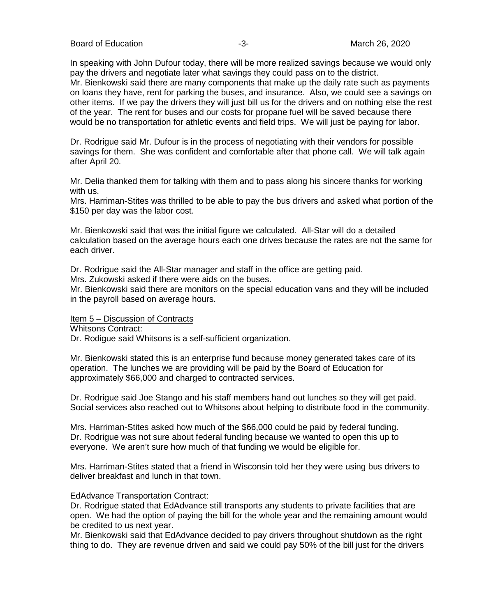Board of Education **-3-** All the state of the state of the March 26, 2020

In speaking with John Dufour today, there will be more realized savings because we would only pay the drivers and negotiate later what savings they could pass on to the district.

Mr. Bienkowski said there are many components that make up the daily rate such as payments on loans they have, rent for parking the buses, and insurance. Also, we could see a savings on other items. If we pay the drivers they will just bill us for the drivers and on nothing else the rest of the year. The rent for buses and our costs for propane fuel will be saved because there would be no transportation for athletic events and field trips. We will just be paying for labor.

Dr. Rodrigue said Mr. Dufour is in the process of negotiating with their vendors for possible savings for them. She was confident and comfortable after that phone call. We will talk again after April 20.

Mr. Delia thanked them for talking with them and to pass along his sincere thanks for working with us.

Mrs. Harriman-Stites was thrilled to be able to pay the bus drivers and asked what portion of the \$150 per day was the labor cost.

Mr. Bienkowski said that was the initial figure we calculated. All-Star will do a detailed calculation based on the average hours each one drives because the rates are not the same for each driver.

Dr. Rodrigue said the All-Star manager and staff in the office are getting paid.

Mrs. Zukowski asked if there were aids on the buses.

Mr. Bienkowski said there are monitors on the special education vans and they will be included in the payroll based on average hours.

# Item 5 – Discussion of Contracts

Whitsons Contract:

Dr. Rodigue said Whitsons is a self-sufficient organization.

Mr. Bienkowski stated this is an enterprise fund because money generated takes care of its operation. The lunches we are providing will be paid by the Board of Education for approximately \$66,000 and charged to contracted services.

Dr. Rodrigue said Joe Stango and his staff members hand out lunches so they will get paid. Social services also reached out to Whitsons about helping to distribute food in the community.

Mrs. Harriman-Stites asked how much of the \$66,000 could be paid by federal funding. Dr. Rodrigue was not sure about federal funding because we wanted to open this up to everyone. We aren't sure how much of that funding we would be eligible for.

Mrs. Harriman-Stites stated that a friend in Wisconsin told her they were using bus drivers to deliver breakfast and lunch in that town.

# EdAdvance Transportation Contract:

Dr. Rodrigue stated that EdAdvance still transports any students to private facilities that are open. We had the option of paying the bill for the whole year and the remaining amount would be credited to us next year.

Mr. Bienkowski said that EdAdvance decided to pay drivers throughout shutdown as the right thing to do. They are revenue driven and said we could pay 50% of the bill just for the drivers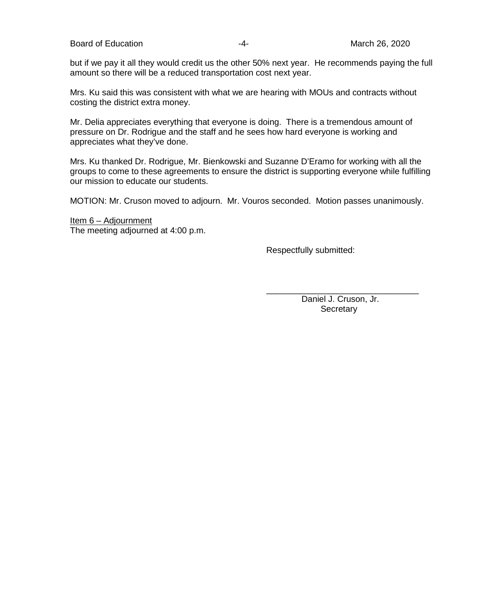Board of Education **Contract Contract Contract Contract Contract Contract Contract Contract Contract Contract Contract Contract Contract Contract Contract Contract Contract Contract Contract Contract Contract Contract Cont** 

but if we pay it all they would credit us the other 50% next year. He recommends paying the full amount so there will be a reduced transportation cost next year.

Mrs. Ku said this was consistent with what we are hearing with MOUs and contracts without costing the district extra money.

Mr. Delia appreciates everything that everyone is doing. There is a tremendous amount of pressure on Dr. Rodrigue and the staff and he sees how hard everyone is working and appreciates what they've done.

Mrs. Ku thanked Dr. Rodrigue, Mr. Bienkowski and Suzanne D'Eramo for working with all the groups to come to these agreements to ensure the district is supporting everyone while fulfilling our mission to educate our students.

MOTION: Mr. Cruson moved to adjourn. Mr. Vouros seconded. Motion passes unanimously.

Item 6 – Adjournment The meeting adjourned at 4:00 p.m.

Respectfully submitted:

\_\_\_\_\_\_\_\_\_\_\_\_\_\_\_\_\_\_\_\_\_\_\_\_\_\_\_\_\_\_\_\_ Daniel J. Cruson, Jr. **Secretary**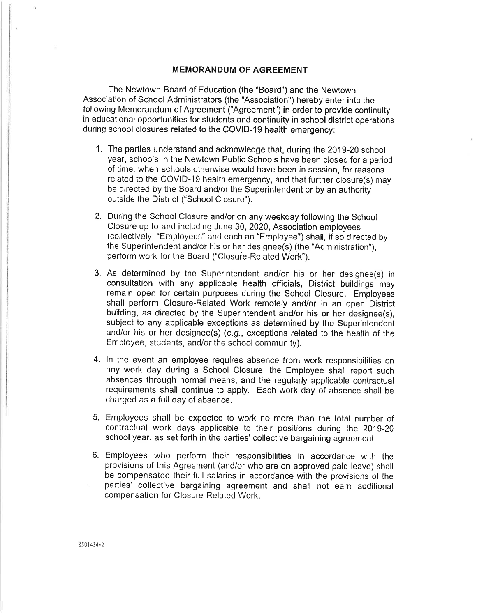The Newtown Board of Education (the "Board") and the Newtown Association of School Administrators (the "Association") hereby enter into the following Memorandum of Agreement ("Agreement") in order to provide continuity in educational opportunities for students and continuity in school district operations during school closures related to the COVID-19 health emergency:

- 1. The parties understand and acknowledge that, during the 2019-20 school year, schools in the Newtown Public Schools have been closed for a period of time, when schools otherwise would have been in session, for reasons related to the COVID-19 health emergency, and that further closure(s) may be directed by the Board and/or the Superintendent or by an authority outside the District ("School Closure").
- 2. During the School Closure and/or on any weekday following the School Closure up to and including June 30, 2020, Association employees (collectively, "Employees" and each an "Employee") shall, if so directed by the Superintendent and/or his or her designee(s) (the "Administration"), perform work for the Board ("Closure-Related Work").
- 3. As determined by the Superintendent and/or his or her designee(s) in consultation with any applicable health officials, District buildings may remain open for certain purposes during the School Closure. Employees shall perform Closure-Related Work remotely and/or in an open District building, as directed by the Superintendent and/or his or her designee(s), subject to any applicable exceptions as determined by the Superintendent and/or his or her designee(s) (e.g., exceptions related to the health of the Employee, students, and/or the school community).
- 4. In the event an employee requires absence from work responsibilities on any work day during a School Closure, the Employee shall report such absences through normal means, and the regularly applicable contractual requirements shall continue to apply. Each work day of absence shall be charged as a full day of absence.
- 5. Employees shall be expected to work no more than the total number of contractual work days applicable to their positions during the 2019-20 school year, as set forth in the parties' collective bargaining agreement.
- 6. Employees who perform their responsibilities in accordance with the provisions of this Agreement (and/or who are on approved paid leave) shall be compensated their full salaries in accordance with the provisions of the parties' collective bargaining agreement and shall not earn additional compensation for Closure-Related Work.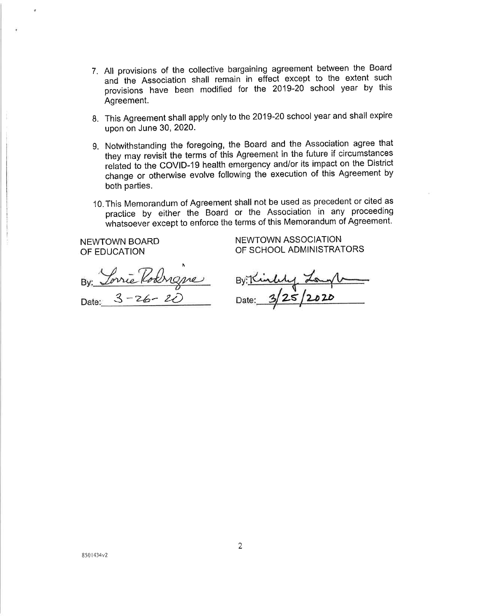- 7. All provisions of the collective bargaining agreement between the Board and the Association shall remain in effect except to the extent such provisions have been modified for the 2019-20 school year by this Agreement.
- 8. This Agreement shall apply only to the 2019-20 school year and shall expire upon on June 30, 2020.
- 9. Notwithstanding the foregoing, the Board and the Association agree that they may revisit the terms of this Agreement in the future if circumstances related to the COVID-19 health emergency and/or its impact on the District change or otherwise evolve following the execution of this Agreement by both parties.
- 10. This Memorandum of Agreement shall not be used as precedent or cited as practice by either the Board or the Association in any proceeding whatsoever except to enforce the terms of this Memorandum of Agreement.

**NEWTOWN BOARD** OF EDUCATION

NEWTOWN ASSOCIATION OF SCHOOL ADMINISTRATORS

By: Torrie Roangne Date:  $3 - 26 - 20$ 

 $By:  $\mathcal{L}\rightarrow\mathcal{L}$$ Date: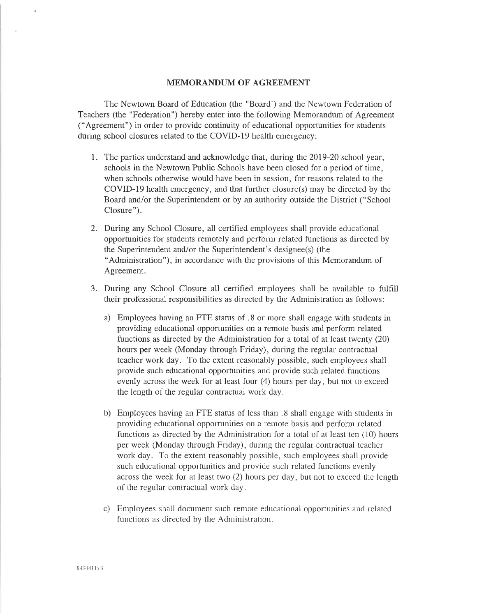The Newtown Board of Education (the "Board") and the Newtown Federation of Teachers (the "Federation") hereby enter into the following Memorandum of Agreement ("Agreement") in order to provide continuity of educational opportunities for students during school closures related to the COVID-19 health emergency:

- 1. The parties understand and acknowledge that, during the 2019-20 school year, schools in the Newtown Public Schools have been closed for a period of time, when schools otherwise would have been in session, for reasons related to the COVID-19 health emergency, and that further closure(s) may be directed by the Board and/or the Superintendent or by an authority outside the District ("School" Closure").
- 2. During any School Closure, all certified employees shall provide educational opportunities for students remotely and perform related functions as directed by the Superintendent and/or the Superintendent's designee(s) (the "Administration"), in accordance with the provisions of this Memorandum of Agreement.
- 3. During any School Closure all certified employees shall be available to fulfill their professional responsibilities as directed by the Administration as follows:
	- a) Employees having an FTE status of 8 or more shall engage with students in providing educational opportunities on a remote basis and perform related functions as directed by the Administration for a total of at least twenty (20) hours per week (Monday through Friday), during the regular contractual teacher work day. To the extent reasonably possible, such employees shall provide such educational opportunities and provide such related functions evenly across the week for at least four (4) hours per day, but not to exceed the length of the regular contractual work day.
	- b) Employees having an FTE status of less than 8 shall engage with students in providing educational opportunities on a remote basis and perform related functions as directed by the Administration for a total of at least ten (10) hours per week (Monday through Friday), during the regular contractual teacher work day. To the extent reasonably possible, such employees shall provide such educational opportunities and provide such related functions evenly across the week for at least two  $(2)$  hours per day, but not to exceed the length of the regular contractual work day.
	- c) Employees shall document such remote educational opportunities and related functions as directed by the Administration.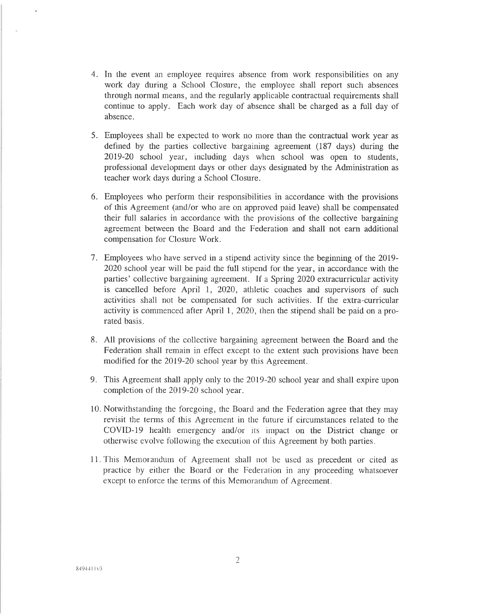- 4. In the event an employee requires absence from work responsibilities on any work day during a School Closure, the employee shall report such absences through normal means, and the regularly applicable contractual requirements shall continue to apply. Each work day of absence shall be charged as a full day of absence.
- 5. Employees shall be expected to work no more than the contractual work year as defined by the parties collective bargaining agreement (187 days) during the 2019-20 school year, including days when school was open to students, professional development days or other days designated by the Administration as teacher work days during a School Closure.
- 6. Employees who perform their responsibilities in accordance with the provisions of this Agreement (and/or who are on approved paid leave) shall be compensated their full salaries in accordance with the provisions of the collective bargaining agreement between the Board and the Federation and shall not earn additional compensation for Closure Work.
- 7. Employees who have served in a stipend activity since the beginning of the 2019-2020 school year will be paid the full stipend for the year, in accordance with the parties' collective bargaining agreement. If a Spring 2020 extracurricular activity is cancelled before April 1, 2020, athletic coaches and supervisors of such activities shall not be compensated for such activities. If the extra-curricular activity is commenced after April 1, 2020, then the stipend shall be paid on a prorated basis.
- 8. All provisions of the collective bargaining agreement between the Board and the Federation shall remain in effect except to the extent such provisions have been modified for the 2019-20 school year by this Agreement.
- 9. This Agreement shall apply only to the 2019-20 school year and shall expire upon completion of the 2019-20 school year.
- 10. Notwithstanding the foregoing, the Board and the Federation agree that they may revisit the terms of this Agreement in the future if circumstances related to the COVID-19 health emergency and/or its impact on the District change or otherwise evolve following the execution of this Agreement by both parties.
- 11. This Memorandum of Agreement shall not be used as precedent or cited as practice by either the Board or the Federation in any proceeding whatsoever except to enforce the terms of this Memorandum of Agreement.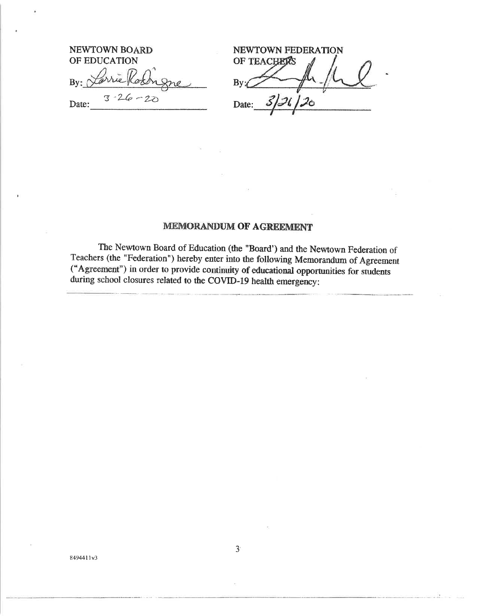| NEWTOWN BOARD          |
|------------------------|
| OF EDUCATION           |
| By: Larrie Rochigne    |
| $3 - 26 - 27$<br>Date: |

NEWTOWN FEDERATION OF TEACHERS By: 5126 Date: 'ò

The Newtown Board of Education (the "Board') and the Newtown Federation of Teachers (the "Federation") hereby enter into the following Memorandum of Agreement ("Agreement") in order to provide continuity of educational opportunities for students during school closures related to the COVID-19 health emergency: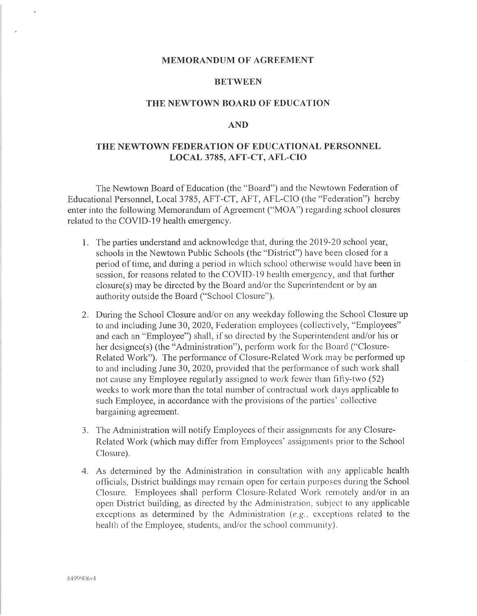# **BETWEEN**

#### THE NEWTOWN BOARD OF EDUCATION

### **AND**

# THE NEWTOWN FEDERATION OF EDUCATIONAL PERSONNEL LOCAL 3785, AFT-CT, AFL-CIO

The Newtown Board of Education (the "Board") and the Newtown Federation of Educational Personnel, Local 3785, AFT-CT, AFT, AFL-CIO (the "Federation") hereby enter into the following Memorandum of Agreement ("MOA") regarding school closures related to the COVID-19 health emergency.

- 1. The parties understand and acknowledge that, during the 2019-20 school year, schools in the Newtown Public Schools (the "District") have been closed for a period of time, and during a period in which school otherwise would have been in session, for reasons related to the COVID-19 health emergency, and that further closure(s) may be directed by the Board and/or the Superintendent or by an authority outside the Board ("School Closure").
- 2. During the School Closure and/or on any weekday following the School Closure up to and including June 30, 2020, Federation employees (collectively, "Employees" and each an "Employee") shall, if so directed by the Superintendent and/or his or her designee(s) (the "Administration"), perform work for the Board ("Closure-Related Work"). The performance of Closure-Related Work may be performed up to and including June 30, 2020, provided that the performance of such work shall not cause any Employee regularly assigned to work fewer than fifty-two (52) weeks to work more than the total number of contractual work days applicable to such Employee, in accordance with the provisions of the parties' collective bargaining agreement.
- 3. The Administration will notify Employees of their assignments for any Closure-Related Work (which may differ from Employees' assignments prior to the School Closure).
- 4. As determined by the Administration in consultation with any applicable health officials, District buildings may remain open for certain purposes during the School Closure. Employees shall perform Closure-Related Work remotely and/or in an open District building, as directed by the Administration, subject to any applicable exceptions as determined by the Administration (e.g., exceptions related to the health of the Employee, students, and/or the school community).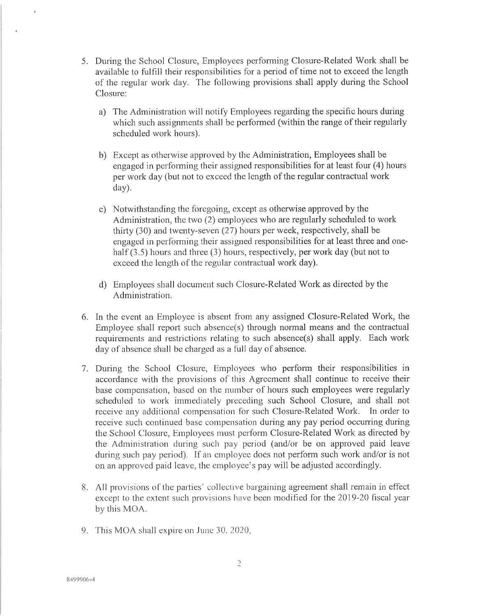- 5. During the School Closure, Employees performing Closure-Related Work shall be available to fulfill their responsibilities for a period of time not to exceed the length of the regular work day. The following provisions shall apply during the School Closure:
	- a) The Administration will notify Employees regarding the specific hours during which such assignments shall be performed (within the range of their regularly scheduled work hours).
	- b) Except as otherwise approved by the Administration, Employees shall be engaged in performing their assigned responsibilities for at least four (4) hours per work day (but not to exceed the length of the regular contractual work day).
	- c) Notwithstanding the foregoing, except as otherwise approved by the Administration, the two (2) employees who are regularly scheduled to work thirty (30) and twenty-seven (27) hours per week, respectively, shall be engaged in performing their assigned responsibilities for at least three and onehalf  $(3.5)$  hours and three  $(3)$  hours, respectively, per work day (but not to exceed the length of the regular contractual work day).
	- d) Employees shall document such Closure-Related Work as directed by the Administration.
- 6. In the event an Employee is absent from any assigned Closure-Related Work, the Employee shall report such absence(s) through normal means and the contractual requirements and restrictions relating to such absence(s) shall apply. Each work day of absence shall be charged as a full day of absence.
- 7. During the School Closure, Employees who perform their responsibilities in accordance with the provisions of this Agreement shall continue to receive their base compensation, based on the number of hours such employees were regularly scheduled to work immediately preceding such School Closure, and shall not receive any additional compensation for such Closure-Related Work. In order to receive such continued base compensation during any pay period occurring during the School Closure, Employees must perform Closure-Related Work as directed by the Administration during such pay period (and/or be on approved paid leave during such pay period). If an employee does not perform such work and/or is not on an approved paid leave, the employee's pay will be adjusted accordingly.
- 8. All provisions of the parties' collective bargaining agreement shall remain in effect except to the extent such provisions have been modified for the 2019-20 fiscal year by this MOA.
- 9. This MOA shall expire on June 30, 2020.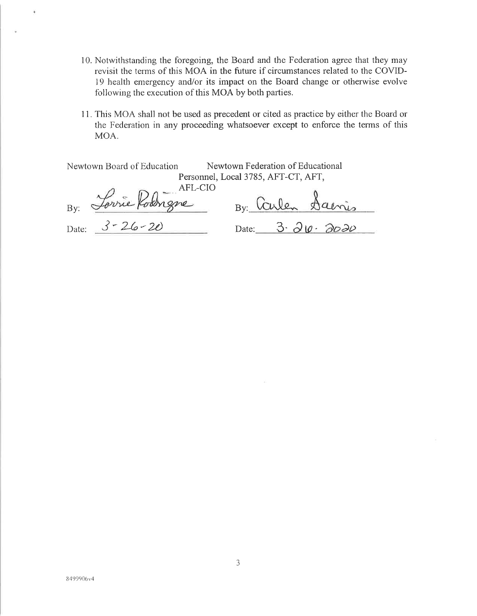- 10. Notwithstanding the foregoing, the Board and the Federation agree that they may revisit the terms of this MOA in the future if circumstances related to the COVID-19 health emergency and/or its impact on the Board change or otherwise evolve following the execution of this MOA by both parties.
- 11. This MOA shall not be used as precedent or cited as practice by either the Board or the Federation in any proceeding whatsoever except to enforce the terms of this MOA.

| Newtown Board of Education | Newtown Federation of Educational<br>Personnel, Local 3785, AFT-CT, AFT, |
|----------------------------|--------------------------------------------------------------------------|
| Forrie Robigne<br>Bv:      | By Carlen Saenis                                                         |
| Date: $3 - 26 - 20$        | Date: $3.20.202$                                                         |

 $\check{\bullet}$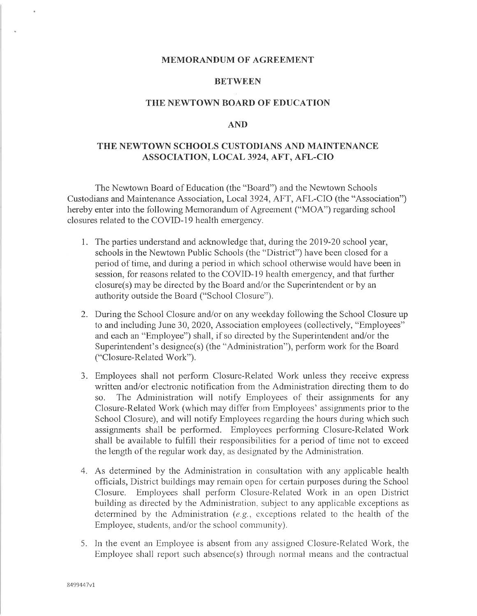# **BETWEEN**

## THE NEWTOWN BOARD OF EDUCATION

### **AND**

# THE NEWTOWN SCHOOLS CUSTODIANS AND MAINTENANCE ASSOCIATION, LOCAL 3924, AFT, AFL-CIO

The Newtown Board of Education (the "Board") and the Newtown Schools Custodians and Maintenance Association, Local 3924, AFT, AFL-CIO (the "Association") hereby enter into the following Memorandum of Agreement ("MOA") regarding school closures related to the COVID-19 health emergency.

- 1. The parties understand and acknowledge that, during the 2019-20 school year, schools in the Newtown Public Schools (the "District") have been closed for a period of time, and during a period in which school otherwise would have been in session, for reasons related to the COVID-19 health emergency, and that further closure(s) may be directed by the Board and/or the Superintendent or by an authority outside the Board ("School Closure").
- 2. During the School Closure and/or on any weekday following the School Closure up to and including June 30, 2020, Association employees (collectively, "Employees" and each an "Employee") shall, if so directed by the Superintendent and/or the Superintendent's designee(s) (the "Administration"), perform work for the Board ("Closure-Related Work").
- 3. Employees shall not perform Closure-Related Work unless they receive express written and/or electronic notification from the Administration directing them to do  $SO<sub>z</sub>$ The Administration will notify Employees of their assignments for any Closure-Related Work (which may differ from Employees' assignments prior to the School Closure), and will notify Employees regarding the hours during which such assignments shall be performed. Employees performing Closure-Related Work shall be available to fulfill their responsibilities for a period of time not to exceed the length of the regular work day, as designated by the Administration.
- 4. As determined by the Administration in consultation with any applicable health officials, District buildings may remain open for certain purposes during the School Closure. Employees shall perform Closure-Related Work in an open District building as directed by the Administration, subject to any applicable exceptions as determined by the Administration (e.g., exceptions related to the health of the Employee, students, and/or the school community).
- 5. In the event an Employee is absent from any assigned Closure-Related Work, the Employee shall report such absence(s) through normal means and the contractual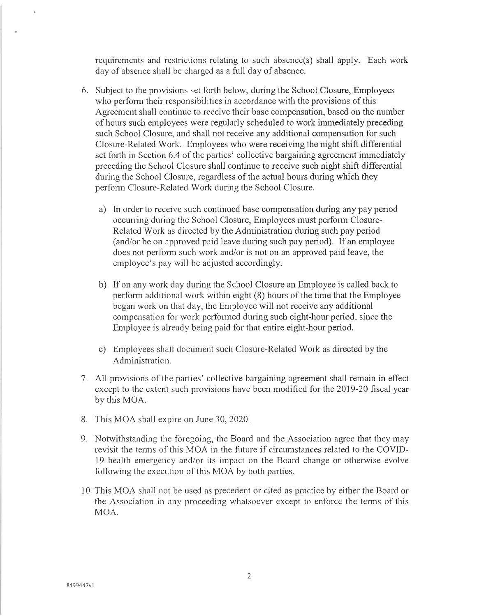requirements and restrictions relating to such absence(s) shall apply. Each work day of absence shall be charged as a full day of absence.

- 6. Subject to the provisions set forth below, during the School Closure, Employees who perform their responsibilities in accordance with the provisions of this Agreement shall continue to receive their base compensation, based on the number of hours such employees were regularly scheduled to work immediately preceding such School Closure, and shall not receive any additional compensation for such Closure-Related Work. Employees who were receiving the night shift differential set forth in Section 6.4 of the parties' collective bargaining agreement immediately preceding the School Closure shall continue to receive such night shift differential during the School Closure, regardless of the actual hours during which they perform Closure-Related Work during the School Closure.
	- a) In order to receive such continued base compensation during any pay period occurring during the School Closure, Employees must perform Closure-Related Work as directed by the Administration during such pay period (and/or be on approved paid leave during such pay period). If an employee does not perform such work and/or is not on an approved paid leave, the employee's pay will be adjusted accordingly.
	- b) If on any work day during the School Closure an Employee is called back to perform additional work within eight (8) hours of the time that the Employee began work on that day, the Employee will not receive any additional compensation for work performed during such eight-hour period, since the Employee is already being paid for that entire eight-hour period.
	- c) Employees shall document such Closure-Related Work as directed by the Administration.
- 7. All provisions of the parties' collective bargaining agreement shall remain in effect except to the extent such provisions have been modified for the 2019-20 fiscal year by this MOA.
- 8. This MOA shall expire on June 30, 2020.
- 9. Notwithstanding the foregoing, the Board and the Association agree that they may revisit the terms of this MOA in the future if circumstances related to the COVID-19 health emergency and/or its impact on the Board change or otherwise evolve following the execution of this MOA by both parties.
- 10. This MOA shall not be used as precedent or cited as practice by either the Board or the Association in any proceeding whatsoever except to enforce the terms of this MOA.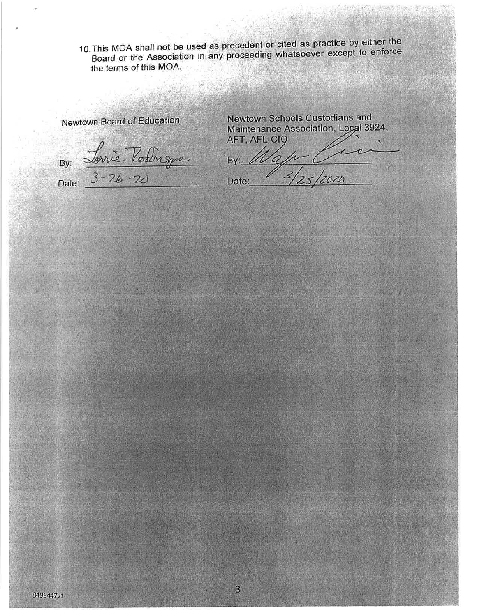10. This MOA shall not be used as precedent or cited as practice by either the Board or the Association in any proceeding whatsoever except to enforce the terms of this MOA.

 $\overline{3}$ 

척

Newtown Board of Education

By: Lorrie Polingne

Newtown Schools Custodians and Maintenance Association, Local 3924, AFT, AFL-CIQ

By Map Cici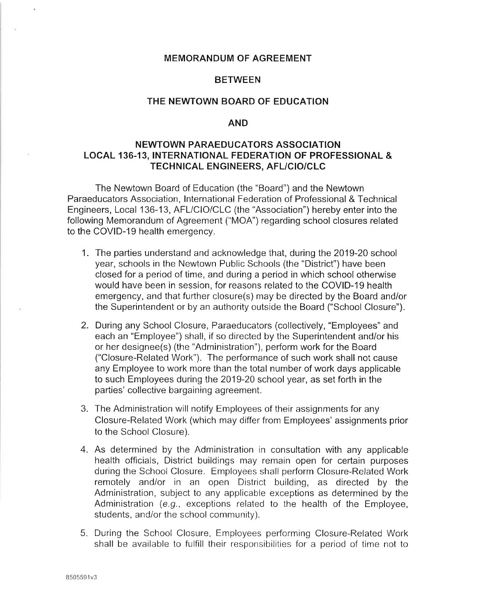### **BETWEEN**

#### THE NEWTOWN BOARD OF EDUCATION

#### **AND**

# NEWTOWN PARAEDUCATORS ASSOCIATION **LOCAL 136-13, INTERNATIONAL FEDERATION OF PROFESSIONAL &** TECHNICAL ENGINEERS, AFL/CIO/CLC

The Newtown Board of Education (the "Board") and the Newtown Paraeducators Association, International Federation of Professional & Technical Engineers, Local 136-13, AFL/CIO/CLC (the "Association") hereby enter into the following Memorandum of Agreement ("MOA") regarding school closures related to the COVID-19 health emergency.

- 1. The parties understand and acknowledge that, during the 2019-20 school year, schools in the Newtown Public Schools (the "District") have been closed for a period of time, and during a period in which school otherwise would have been in session, for reasons related to the COVID-19 health emergency, and that further closure(s) may be directed by the Board and/or the Superintendent or by an authority outside the Board ("School Closure").
- 2. During any School Closure, Paraeducators (collectively, "Employees" and each an "Employee") shall, if so directed by the Superintendent and/or his or her designee(s) (the "Administration"), perform work for the Board ("Closure-Related Work"). The performance of such work shall not cause any Employee to work more than the total number of work days applicable to such Employees during the 2019-20 school year, as set forth in the parties' collective bargaining agreement.
- 3. The Administration will notify Employees of their assignments for any Closure-Related Work (which may differ from Employees' assignments prior to the School Closure).
- 4. As determined by the Administration in consultation with any applicable health officials, District buildings may remain open for certain purposes during the School Closure. Employees shall perform Closure-Related Work remotely and/or in an open District building, as directed by the Administration, subject to any applicable exceptions as determined by the Administration (e.g., exceptions related to the health of the Employee, students, and/or the school community).
- 5. During the School Closure, Employees performing Closure-Related Work shall be available to fulfill their responsibilities for a period of time not to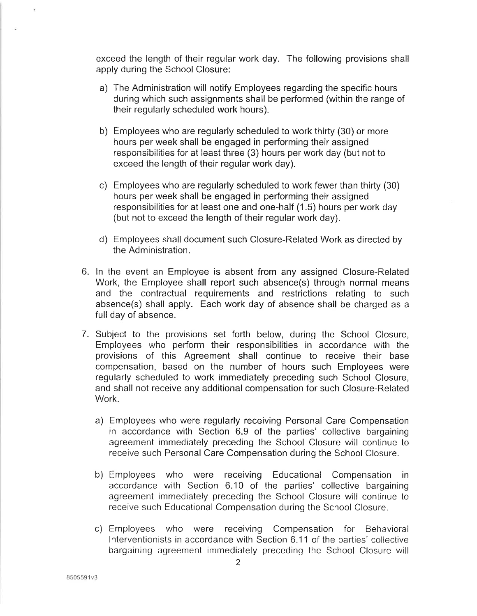exceed the length of their regular work day. The following provisions shall apply during the School Closure:

- a) The Administration will notify Employees regarding the specific hours during which such assignments shall be performed (within the range of their regularly scheduled work hours).
- b) Employees who are regularly scheduled to work thirty (30) or more hours per week shall be engaged in performing their assigned responsibilities for at least three (3) hours per work day (but not to exceed the length of their regular work day).
- c) Employees who are regularly scheduled to work fewer than thirty (30) hours per week shall be engaged in performing their assigned responsibilities for at least one and one-half (1.5) hours per work day (but not to exceed the length of their regular work day).
- d) Employees shall document such Closure-Related Work as directed by the Administration.
- 6. In the event an Employee is absent from any assigned Closure-Related Work, the Employee shall report such absence(s) through normal means and the contractual requirements and restrictions relating to such absence(s) shall apply. Each work day of absence shall be charged as a full day of absence.
- 7. Subject to the provisions set forth below, during the School Closure, Employees who perform their responsibilities in accordance with the provisions of this Agreement shall continue to receive their base compensation, based on the number of hours such Employees were regularly scheduled to work immediately preceding such School Closure. and shall not receive any additional compensation for such Closure-Related Work.
	- a) Employees who were regularly receiving Personal Care Compensation in accordance with Section 6.9 of the parties' collective bargaining agreement immediately preceding the School Closure will continue to receive such Personal Care Compensation during the School Closure.
	- b) Employees who were receiving Educational Compensation in accordance with Section 6.10 of the parties' collective bargaining agreement immediately preceding the School Closure will continue to receive such Educational Compensation during the School Closure.
	- c) Employees who were receiving Compensation for Behavioral Interventionists in accordance with Section 6.11 of the parties' collective bargaining agreement immediately preceding the School Closure will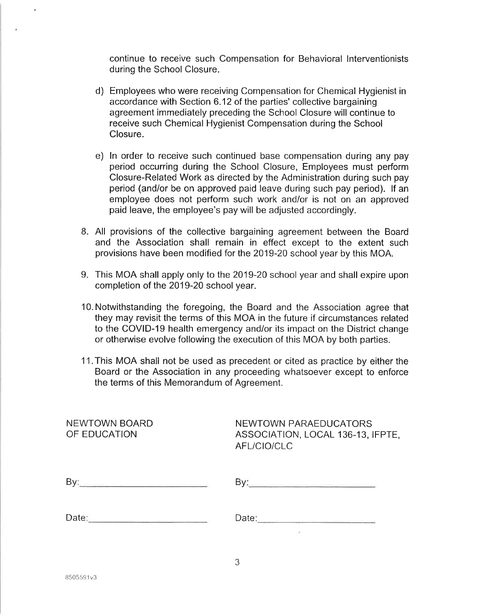continue to receive such Compensation for Behavioral Interventionists during the School Closure.

- d) Employees who were receiving Compensation for Chemical Hygienist in accordance with Section 6.12 of the parties' collective bargaining agreement immediately preceding the School Closure will continue to receive such Chemical Hygienist Compensation during the School Closure.
- e) In order to receive such continued base compensation during any pay period occurring during the School Closure, Employees must perform Closure-Related Work as directed by the Administration during such pay period (and/or be on approved paid leave during such pay period). If an employee does not perform such work and/or is not on an approved paid leave, the employee's pay will be adjusted accordingly.
- 8. All provisions of the collective bargaining agreement between the Board and the Association shall remain in effect except to the extent such provisions have been modified for the 2019-20 school year by this MOA.
- 9. This MOA shall apply only to the 2019-20 school year and shall expire upon completion of the 2019-20 school year.
- 10. Notwithstanding the foregoing, the Board and the Association agree that they may revisit the terms of this MOA in the future if circumstances related to the COVID-19 health emergency and/or its impact on the District change or otherwise evolve following the execution of this MOA by both parties.
- 11. This MOA shall not be used as precedent or cited as practice by either the Board or the Association in any proceeding whatsoever except to enforce the terms of this Memorandum of Agreement.

| NEWTOWN BOARD<br>OF EDUCATION | NEWTOWN PARAEDUCATORS<br>ASSOCIATION, LOCAL 136-13, IFPTE,<br>AFL/CIO/CLC                                      |
|-------------------------------|----------------------------------------------------------------------------------------------------------------|
|                               |                                                                                                                |
|                               | Date: 2008 - 2008 - 2008 - 2008 - 2010 - 2010 - 2010 - 2010 - 2010 - 2010 - 2010 - 2010 - 2010 - 2010 - 2010 - |
|                               |                                                                                                                |

3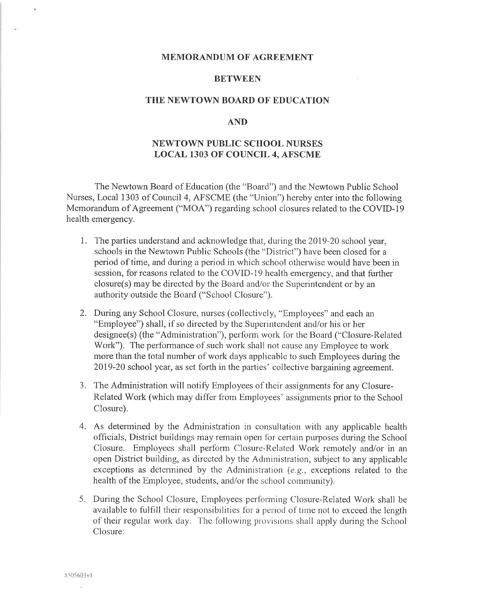#### **BETWEEN**

### THE NEWTOWN BOARD OF EDUCATION

#### **AND**

# **NEWTOWN PUBLIC SCHOOL NURSES LOCAL 1303 OF COUNCIL 4, AFSCME**

The Newtown Board of Education (the "Board") and the Newtown Public School Nurses, Local 1303 of Council 4, AFSCME (the "Union") hereby enter into the following Memorandum of Agreement ("MOA") regarding school closures related to the COVID-19 health emergency.

- 1. The parties understand and acknowledge that, during the 2019-20 school year, schools in the Newtown Public Schools (the "District") have been closed for a period of time, and during a period in which school otherwise would have been in session, for reasons related to the COVID-19 health emergency, and that further closure(s) may be directed by the Board and/or the Superintendent or by an authority outside the Board ("School Closure").
- 2. During any School Closure, nurses (collectively, "Employees" and each an "Employee") shall, if so directed by the Superintendent and/or his or her designee(s) (the "Administration"), perform work for the Board ("Closure-Related" Work"). The performance of such work shall not cause any Employee to work more than the total number of work days applicable to such Employees during the 2019-20 school year, as set forth in the parties' collective bargaining agreement.
- 3. The Administration will notify Employees of their assignments for any Closure-Related Work (which may differ from Employees' assignments prior to the School Closure).
- 4. As determined by the Administration in consultation with any applicable health officials, District buildings may remain open for certain purposes during the School Closure. Employees shall perform Closure-Related Work remotely and/or in an open District building, as directed by the Administration, subject to any applicable exceptions as determined by the Administration (e.g., exceptions related to the health of the Employee, students, and/or the school community).
- 5. During the School Closure, Employees performing Closure-Related Work shall be available to fulfill their responsibilities for a period of time not to exceed the length of their regular work day. The following provisions shall apply during the School Closure:

٠

o.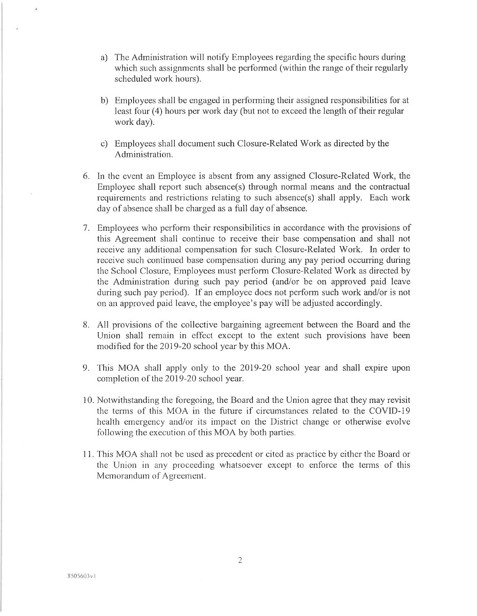- a) The Administration will notify Employees regarding the specific hours during which such assignments shall be performed (within the range of their regularly scheduled work hours).
- b) Employees shall be engaged in performing their assigned responsibilities for at least four (4) hours per work day (but not to exceed the length of their regular work day).
- c) Employees shall document such Closure-Related Work as directed by the Administration.
- 6. In the event an Employee is absent from any assigned Closure-Related Work, the Employee shall report such absence(s) through normal means and the contractual requirements and restrictions relating to such absence(s) shall apply. Each work day of absence shall be charged as a full day of absence.
- 7. Employees who perform their responsibilities in accordance with the provisions of this Agreement shall continue to receive their base compensation and shall not receive any additional compensation for such Closure-Related Work. In order to receive such continued base compensation during any pay period occurring during the School Closure, Employees must perform Closure-Related Work as directed by the Administration during such pay period (and/or be on approved paid leave during such pay period). If an employee does not perform such work and/or is not on an approved paid leave, the employee's pay will be adjusted accordingly.
- 8. All provisions of the collective bargaining agreement between the Board and the Union shall remain in effect except to the extent such provisions have been modified for the 2019-20 school year by this MOA.
- 9. This MOA shall apply only to the 2019-20 school year and shall expire upon completion of the 2019-20 school year.
- 10. Notwithstanding the foregoing, the Board and the Union agree that they may revisit the terms of this MOA in the future if circumstances related to the COVID-19 health emergency and/or its impact on the District change or otherwise evolve following the execution of this MOA by both parties.
- 11. This MOA shall not be used as precedent or cited as practice by either the Board or the Union in any proceeding whatsoever except to enforce the terms of this Memorandum of Agreement.